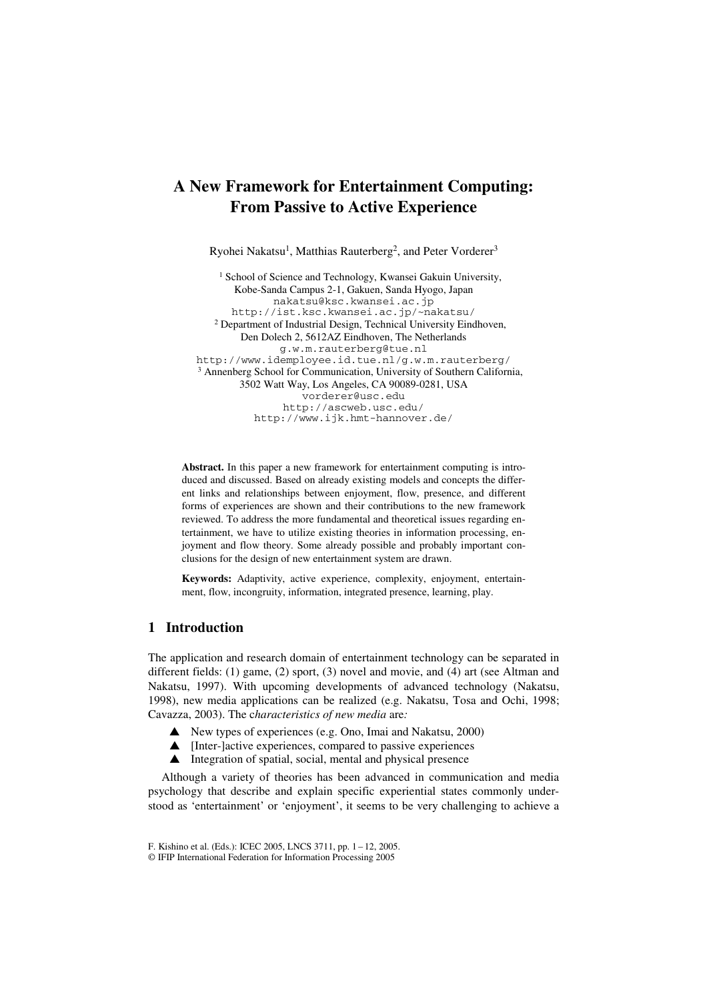# **A New Framework for Entertainment Computing: From Passive to Active Experience**

Ryohei Nakatsu<sup>1</sup>, Matthias Rauterberg<sup>2</sup>, and Peter Vorderer<sup>3</sup>

<sup>1</sup> School of Science and Technology, Kwansei Gakuin University, Kobe-Sanda Campus 2-1, Gakuen, Sanda Hyogo, Japan nakatsu@ksc.kwansei.ac.jp http://ist.ksc.kwansei.ac.jp/~nakatsu/ 2 Department of Industrial Design, Technical University Eindhoven, Den Dolech 2, 5612AZ Eindhoven, The Netherlands g.w.m.rauterberg@tue.nl http://www.idemployee.id.tue.nl/g.w.m.rauterberg/ <sup>3</sup> Annenberg School for Communication, University of Southern California, 3502 Watt Way, Los Angeles, CA 90089-0281, USA vorderer@usc.edu http://ascweb.usc.edu/ http://www.ijk.hmt-hannover.de/

**Abstract.** In this paper a new framework for entertainment computing is introduced and discussed. Based on already existing models and concepts the different links and relationships between enjoyment, flow, presence, and different forms of experiences are shown and their contributions to the new framework reviewed. To address the more fundamental and theoretical issues regarding entertainment, we have to utilize existing theories in information processing, enjoyment and flow theory. Some already possible and probably important conclusions for the design of new entertainment system are drawn.

**Keywords:** Adaptivity, active experience, complexity, enjoyment, entertainment, flow, incongruity, information, integrated presence, learning, play.

## **1 Introduction**

The application and research domain of entertainment technology can be separated in different fields: (1) game, (2) sport, (3) novel and movie, and (4) art (see Altman and Nakatsu, 1997). With upcoming developments of advanced technology (Nakatsu, 1998), new media applications can be realized (e.g. Nakatsu, Tosa and Ochi, 1998; Cavazza, 2003). The c*haracteristics of new media* are*:*

- ▲ New types of experiences (e.g. Ono, Imai and Nakatsu, 2000)
- $\triangle$  [Inter-]active experiences, compared to passive experiences
- ▲ Integration of spatial, social, mental and physical presence

Although a variety of theories has been advanced in communication and media psychology that describe and explain specific experiential states commonly understood as 'entertainment' or 'enjoyment', it seems to be very challenging to achieve a

F. Kishino et al. (Eds.): ICEC 2005, LNCS 3711, pp. 1 – 12, 2005.

<sup>©</sup> IFIP International Federation for Information Processing 2005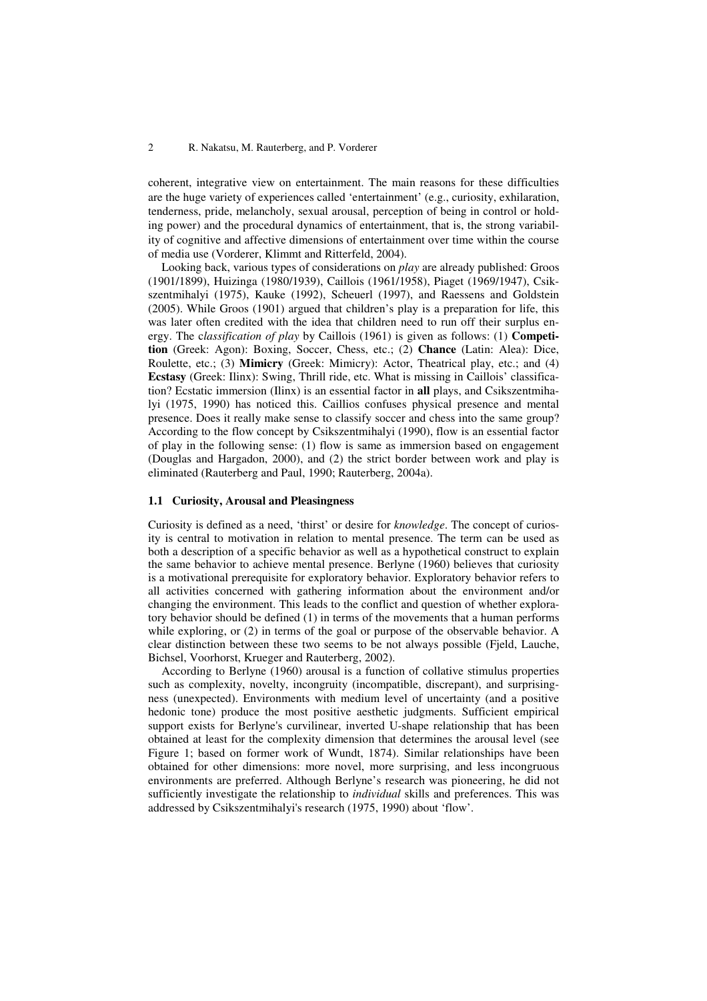coherent, integrative view on entertainment. The main reasons for these difficulties are the huge variety of experiences called 'entertainment' (e.g., curiosity, exhilaration, tenderness, pride, melancholy, sexual arousal, perception of being in control or holding power) and the procedural dynamics of entertainment, that is, the strong variability of cognitive and affective dimensions of entertainment over time within the course of media use (Vorderer, Klimmt and Ritterfeld, 2004).

Looking back, various types of considerations on *play* are already published: Groos (1901/1899), Huizinga (1980/1939), Caillois (1961/1958), Piaget (1969/1947), Csikszentmihalyi (1975), Kauke (1992), Scheuerl (1997), and Raessens and Goldstein (2005). While Groos (1901) argued that children's play is a preparation for life, this was later often credited with the idea that children need to run off their surplus energy. The c*lassification of play* by Caillois (1961) is given as follows: (1) **Competition** (Greek: Agon): Boxing, Soccer, Chess, etc.; (2) **Chance** (Latin: Alea): Dice, Roulette, etc.; (3) **Mimicry** (Greek: Mimicry): Actor, Theatrical play, etc.; and (4) **Ecstasy** (Greek: Ilinx): Swing, Thrill ride, etc. What is missing in Caillois' classification? Ecstatic immersion (Ilinx) is an essential factor in **all** plays, and Csikszentmihalyi (1975, 1990) has noticed this. Caillios confuses physical presence and mental presence. Does it really make sense to classify soccer and chess into the same group? According to the flow concept by Csikszentmihalyi (1990), flow is an essential factor of play in the following sense: (1) flow is same as immersion based on engagement (Douglas and Hargadon, 2000), and (2) the strict border between work and play is eliminated (Rauterberg and Paul, 1990; Rauterberg, 2004a).

### **1.1 Curiosity, Arousal and Pleasingness**

Curiosity is defined as a need, 'thirst' or desire for *knowledge*. The concept of curiosity is central to motivation in relation to mental presence. The term can be used as both a description of a specific behavior as well as a hypothetical construct to explain the same behavior to achieve mental presence. Berlyne (1960) believes that curiosity is a motivational prerequisite for exploratory behavior. Exploratory behavior refers to all activities concerned with gathering information about the environment and/or changing the environment. This leads to the conflict and question of whether exploratory behavior should be defined (1) in terms of the movements that a human performs while exploring, or (2) in terms of the goal or purpose of the observable behavior. A clear distinction between these two seems to be not always possible (Fjeld, Lauche, Bichsel, Voorhorst, Krueger and Rauterberg, 2002).

According to Berlyne (1960) arousal is a function of collative stimulus properties such as complexity, novelty, incongruity (incompatible, discrepant), and surprisingness (unexpected). Environments with medium level of uncertainty (and a positive hedonic tone) produce the most positive aesthetic judgments. Sufficient empirical support exists for Berlyne's curvilinear, inverted U-shape relationship that has been obtained at least for the complexity dimension that determines the arousal level (see Figure 1; based on former work of Wundt, 1874). Similar relationships have been obtained for other dimensions: more novel, more surprising, and less incongruous environments are preferred. Although Berlyne's research was pioneering, he did not sufficiently investigate the relationship to *individual* skills and preferences. This was addressed by Csikszentmihalyi's research (1975, 1990) about 'flow'.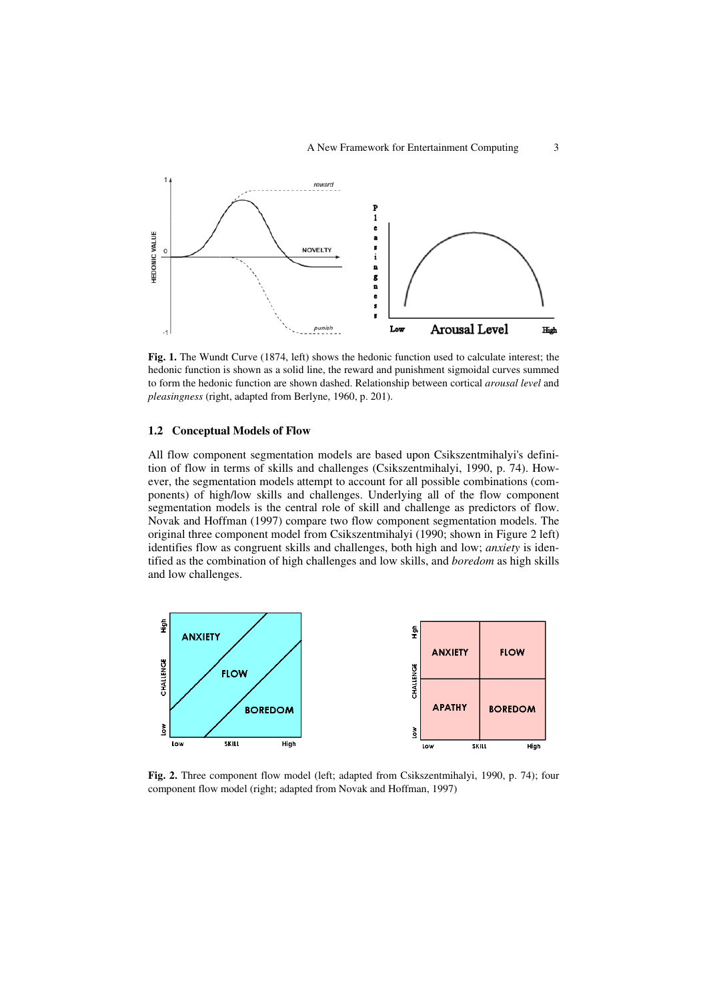

**Fig. 1.** The Wundt Curve (1874, left) shows the hedonic function used to calculate interest; the hedonic function is shown as a solid line, the reward and punishment sigmoidal curves summed to form the hedonic function are shown dashed. Relationship between cortical *arousal level* and *pleasingness* (right, adapted from Berlyne, 1960, p. 201).

#### **1.2 Conceptual Models of Flow**

All flow component segmentation models are based upon Csikszentmihalyi's definition of flow in terms of skills and challenges (Csikszentmihalyi, 1990, p. 74). However, the segmentation models attempt to account for all possible combinations (components) of high/low skills and challenges. Underlying all of the flow component segmentation models is the central role of skill and challenge as predictors of flow. Novak and Hoffman (1997) compare two flow component segmentation models. The original three component model from Csikszentmihalyi (1990; shown in Figure 2 left) identifies flow as congruent skills and challenges, both high and low; *anxiety* is identified as the combination of high challenges and low skills, and *boredom* as high skills and low challenges.



Fig. 2. Three component flow model (left; adapted from Csikszentmihalyi, 1990, p. 74); four component flow model (right; adapted from Novak and Hoffman, 1997)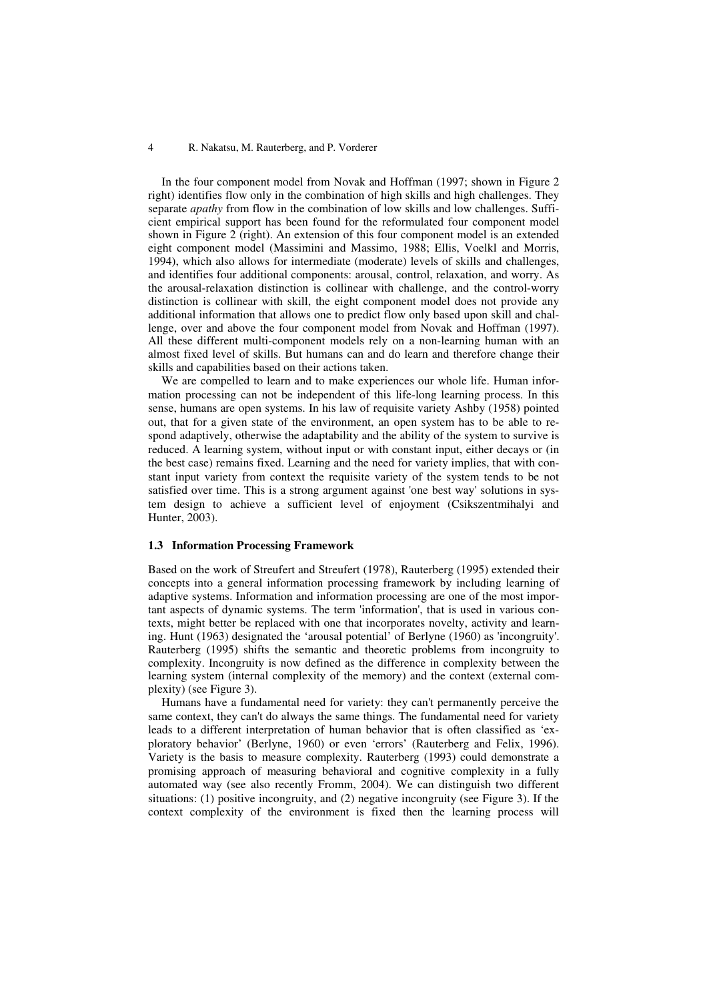#### 4 R. Nakatsu, M. Rauterberg, and P. Vorderer

In the four component model from Novak and Hoffman (1997; shown in Figure 2 right) identifies flow only in the combination of high skills and high challenges. They separate *apathy* from flow in the combination of low skills and low challenges. Sufficient empirical support has been found for the reformulated four component model shown in Figure 2 (right). An extension of this four component model is an extended eight component model (Massimini and Massimo, 1988; Ellis, Voelkl and Morris, 1994), which also allows for intermediate (moderate) levels of skills and challenges, and identifies four additional components: arousal, control, relaxation, and worry. As the arousal-relaxation distinction is collinear with challenge, and the control-worry distinction is collinear with skill, the eight component model does not provide any additional information that allows one to predict flow only based upon skill and challenge, over and above the four component model from Novak and Hoffman (1997). All these different multi-component models rely on a non-learning human with an almost fixed level of skills. But humans can and do learn and therefore change their skills and capabilities based on their actions taken.

We are compelled to learn and to make experiences our whole life. Human information processing can not be independent of this life-long learning process. In this sense, humans are open systems. In his law of requisite variety Ashby (1958) pointed out, that for a given state of the environment, an open system has to be able to respond adaptively, otherwise the adaptability and the ability of the system to survive is reduced. A learning system, without input or with constant input, either decays or (in the best case) remains fixed. Learning and the need for variety implies, that with constant input variety from context the requisite variety of the system tends to be not satisfied over time. This is a strong argument against 'one best way' solutions in system design to achieve a sufficient level of enjoyment (Csikszentmihalyi and Hunter, 2003).

#### **1.3 Information Processing Framework**

Based on the work of Streufert and Streufert (1978), Rauterberg (1995) extended their concepts into a general information processing framework by including learning of adaptive systems. Information and information processing are one of the most important aspects of dynamic systems. The term 'information', that is used in various contexts, might better be replaced with one that incorporates novelty, activity and learning. Hunt (1963) designated the 'arousal potential' of Berlyne (1960) as 'incongruity'. Rauterberg (1995) shifts the semantic and theoretic problems from incongruity to complexity. Incongruity is now defined as the difference in complexity between the learning system (internal complexity of the memory) and the context (external complexity) (see Figure 3).

Humans have a fundamental need for variety: they can't permanently perceive the same context, they can't do always the same things. The fundamental need for variety leads to a different interpretation of human behavior that is often classified as 'exploratory behavior' (Berlyne, 1960) or even 'errors' (Rauterberg and Felix, 1996). Variety is the basis to measure complexity. Rauterberg (1993) could demonstrate a promising approach of measuring behavioral and cognitive complexity in a fully automated way (see also recently Fromm, 2004). We can distinguish two different situations: (1) positive incongruity, and (2) negative incongruity (see Figure 3). If the context complexity of the environment is fixed then the learning process will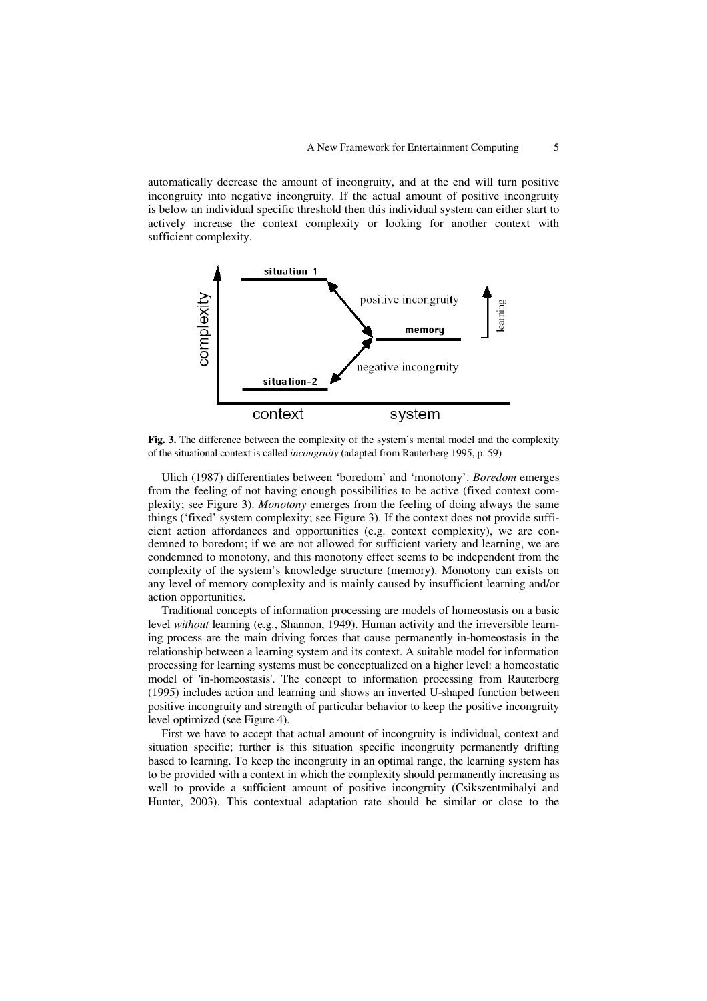automatically decrease the amount of incongruity, and at the end will turn positive incongruity into negative incongruity. If the actual amount of positive incongruity is below an individual specific threshold then this individual system can either start to actively increase the context complexity or looking for another context with sufficient complexity.



**Fig. 3.** The difference between the complexity of the system's mental model and the complexity of the situational context is called *incongruity* (adapted from Rauterberg 1995, p. 59)

Ulich (1987) differentiates between 'boredom' and 'monotony'. *Boredom* emerges from the feeling of not having enough possibilities to be active (fixed context complexity; see Figure 3). *Monotony* emerges from the feeling of doing always the same things ('fixed' system complexity; see Figure 3). If the context does not provide sufficient action affordances and opportunities (e.g. context complexity), we are condemned to boredom; if we are not allowed for sufficient variety and learning, we are condemned to monotony, and this monotony effect seems to be independent from the complexity of the system's knowledge structure (memory). Monotony can exists on any level of memory complexity and is mainly caused by insufficient learning and/or action opportunities.

Traditional concepts of information processing are models of homeostasis on a basic level *without* learning (e.g., Shannon, 1949). Human activity and the irreversible learning process are the main driving forces that cause permanently in-homeostasis in the relationship between a learning system and its context. A suitable model for information processing for learning systems must be conceptualized on a higher level: a homeostatic model of 'in-homeostasis'. The concept to information processing from Rauterberg (1995) includes action and learning and shows an inverted U-shaped function between positive incongruity and strength of particular behavior to keep the positive incongruity level optimized (see Figure 4).

First we have to accept that actual amount of incongruity is individual, context and situation specific; further is this situation specific incongruity permanently drifting based to learning. To keep the incongruity in an optimal range, the learning system has to be provided with a context in which the complexity should permanently increasing as well to provide a sufficient amount of positive incongruity (Csikszentmihalyi and Hunter, 2003). This contextual adaptation rate should be similar or close to the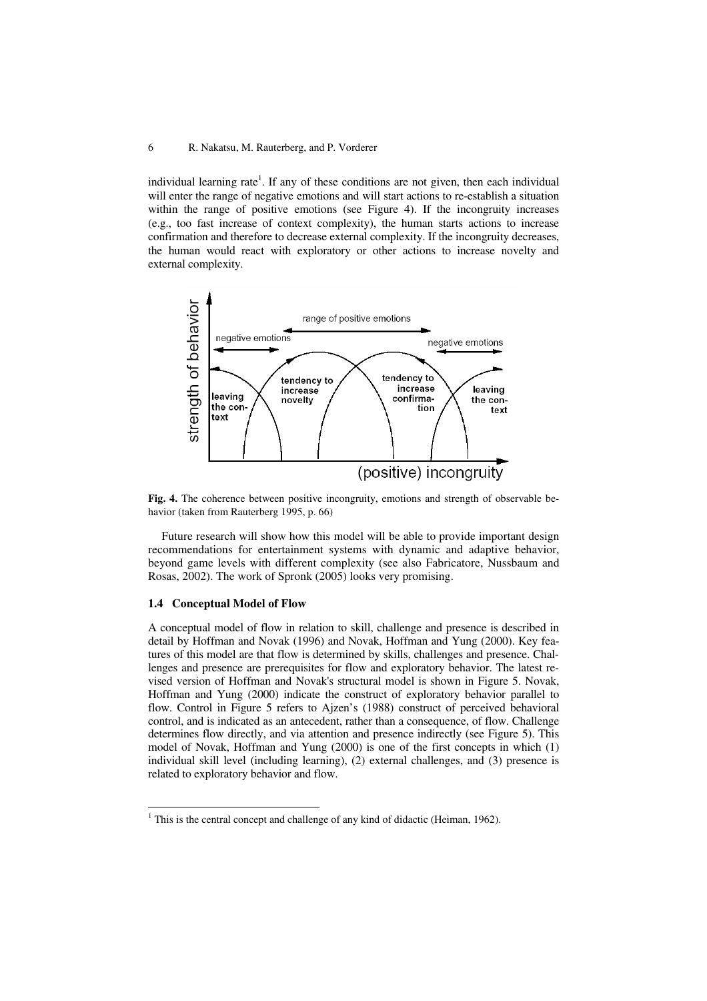#### 6 R. Nakatsu, M. Rauterberg, and P. Vorderer

individual learning rate<sup>1</sup>. If any of these conditions are not given, then each individual will enter the range of negative emotions and will start actions to re-establish a situation within the range of positive emotions (see Figure 4). If the incongruity increases (e.g., too fast increase of context complexity), the human starts actions to increase confirmation and therefore to decrease external complexity. If the incongruity decreases, the human would react with exploratory or other actions to increase novelty and external complexity.



Fig. 4. The coherence between positive incongruity, emotions and strength of observable behavior (taken from Rauterberg 1995, p. 66)

Future research will show how this model will be able to provide important design recommendations for entertainment systems with dynamic and adaptive behavior, beyond game levels with different complexity (see also Fabricatore, Nussbaum and Rosas, 2002). The work of Spronk (2005) looks very promising.

## **1.4 Conceptual Model of Flow**

-

A conceptual model of flow in relation to skill, challenge and presence is described in detail by Hoffman and Novak (1996) and Novak, Hoffman and Yung (2000). Key features of this model are that flow is determined by skills, challenges and presence. Challenges and presence are prerequisites for flow and exploratory behavior. The latest revised version of Hoffman and Novak's structural model is shown in Figure 5. Novak, Hoffman and Yung (2000) indicate the construct of exploratory behavior parallel to flow. Control in Figure 5 refers to Ajzen's (1988) construct of perceived behavioral control, and is indicated as an antecedent, rather than a consequence, of flow. Challenge determines flow directly, and via attention and presence indirectly (see Figure 5). This model of Novak, Hoffman and Yung (2000) is one of the first concepts in which (1) individual skill level (including learning), (2) external challenges, and (3) presence is related to exploratory behavior and flow.

<sup>&</sup>lt;sup>1</sup> This is the central concept and challenge of any kind of didactic (Heiman, 1962).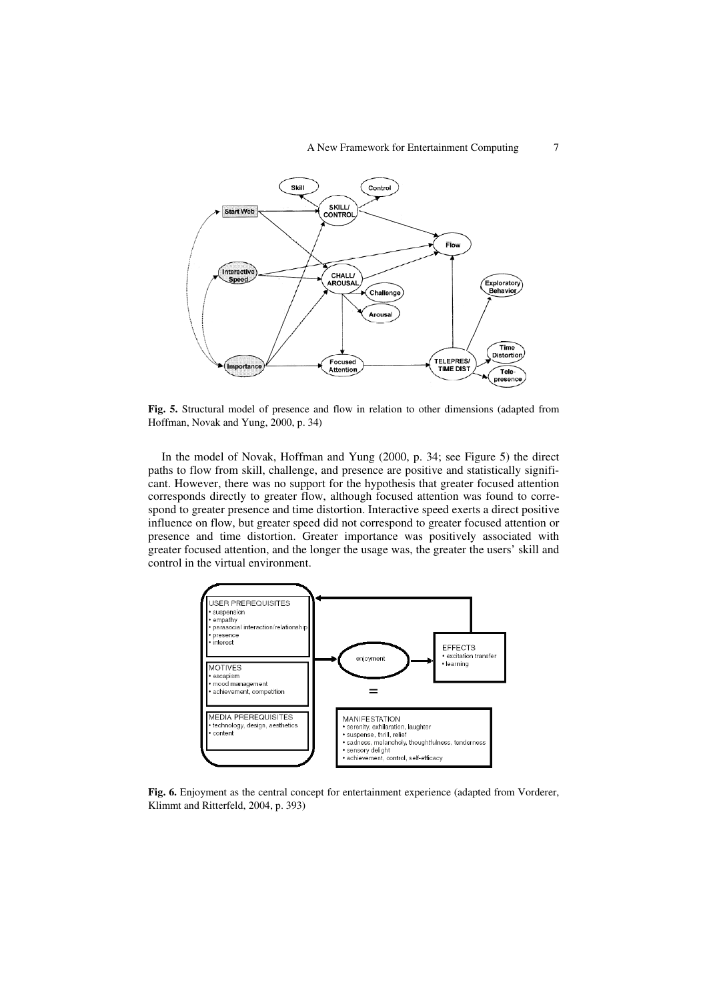

**Fig. 5.** Structural model of presence and flow in relation to other dimensions (adapted from Hoffman, Novak and Yung, 2000, p. 34)

In the model of Novak, Hoffman and Yung (2000, p. 34; see Figure 5) the direct paths to flow from skill, challenge, and presence are positive and statistically significant. However, there was no support for the hypothesis that greater focused attention corresponds directly to greater flow, although focused attention was found to correspond to greater presence and time distortion. Interactive speed exerts a direct positive influence on flow, but greater speed did not correspond to greater focused attention or presence and time distortion. Greater importance was positively associated with greater focused attention, and the longer the usage was, the greater the users' skill and control in the virtual environment.



Fig. 6. Enjoyment as the central concept for entertainment experience (adapted from Vorderer, Klimmt and Ritterfeld, 2004, p. 393)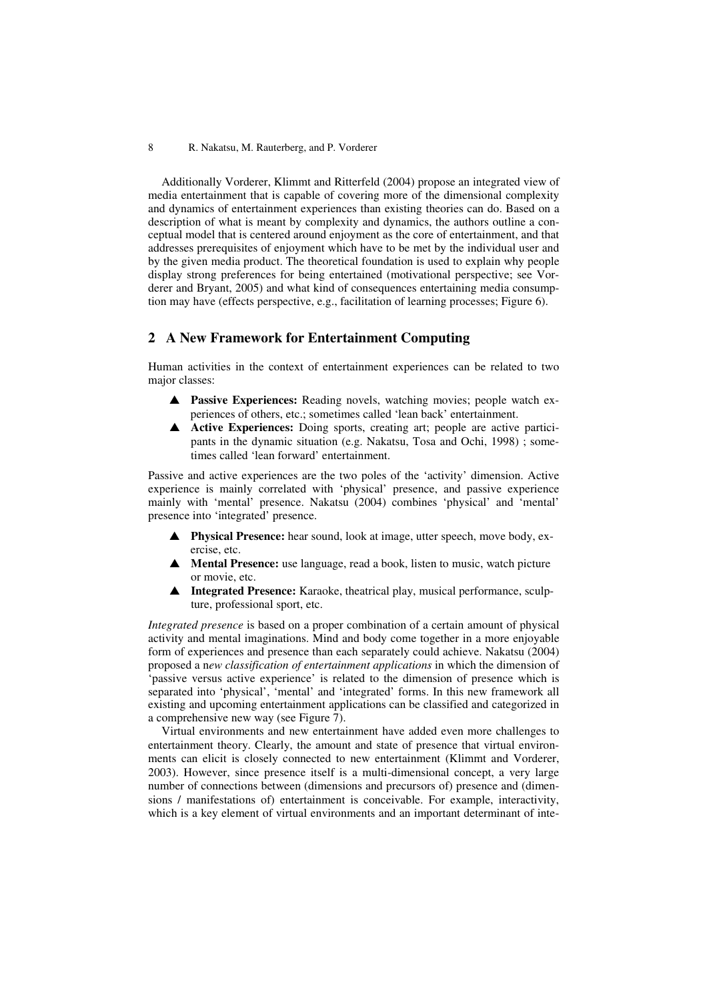#### 8 R. Nakatsu, M. Rauterberg, and P. Vorderer

Additionally Vorderer, Klimmt and Ritterfeld (2004) propose an integrated view of media entertainment that is capable of covering more of the dimensional complexity and dynamics of entertainment experiences than existing theories can do. Based on a description of what is meant by complexity and dynamics, the authors outline a conceptual model that is centered around enjoyment as the core of entertainment, and that addresses prerequisites of enjoyment which have to be met by the individual user and by the given media product. The theoretical foundation is used to explain why people display strong preferences for being entertained (motivational perspective; see Vorderer and Bryant, 2005) and what kind of consequences entertaining media consumption may have (effects perspective, e.g., facilitation of learning processes; Figure 6).

## **2 A New Framework for Entertainment Computing**

Human activities in the context of entertainment experiences can be related to two major classes:

- ▲ **Passive Experiences:** Reading novels, watching movies; people watch experiences of others, etc.; sometimes called 'lean back' entertainment.
- ▲ **Active Experiences:** Doing sports, creating art; people are active participants in the dynamic situation (e.g. Nakatsu, Tosa and Ochi, 1998) ; sometimes called 'lean forward' entertainment.

Passive and active experiences are the two poles of the 'activity' dimension. Active experience is mainly correlated with 'physical' presence, and passive experience mainly with 'mental' presence. Nakatsu (2004) combines 'physical' and 'mental' presence into 'integrated' presence.

- ▲ **Physical Presence:** hear sound, look at image, utter speech, move body, exercise, etc.
- ▲ **Mental Presence:** use language, read a book, listen to music, watch picture or movie, etc.
- ▲ **Integrated Presence:** Karaoke, theatrical play, musical performance, sculpture, professional sport, etc.

*Integrated presence* is based on a proper combination of a certain amount of physical activity and mental imaginations. Mind and body come together in a more enjoyable form of experiences and presence than each separately could achieve. Nakatsu (2004) proposed a n*ew classification of entertainment applications* in which the dimension of 'passive versus active experience' is related to the dimension of presence which is separated into 'physical', 'mental' and 'integrated' forms. In this new framework all existing and upcoming entertainment applications can be classified and categorized in a comprehensive new way (see Figure 7).

Virtual environments and new entertainment have added even more challenges to entertainment theory. Clearly, the amount and state of presence that virtual environments can elicit is closely connected to new entertainment (Klimmt and Vorderer, 2003). However, since presence itself is a multi-dimensional concept, a very large number of connections between (dimensions and precursors of) presence and (dimensions / manifestations of) entertainment is conceivable. For example, interactivity, which is a key element of virtual environments and an important determinant of inte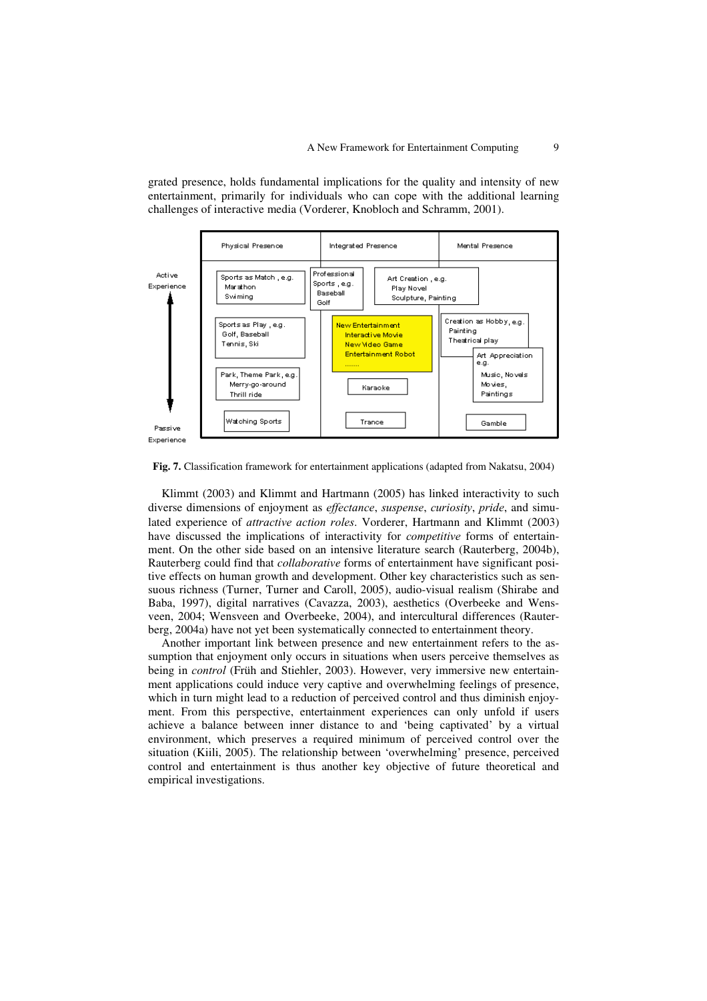grated presence, holds fundamental implications for the quality and intensity of new entertainment, primarily for individuals who can cope with the additional learning challenges of interactive media (Vorderer, Knobloch and Schramm, 2001).



**Fig. 7.** Classification framework for entertainment applications (adapted from Nakatsu, 2004)

Klimmt (2003) and Klimmt and Hartmann (2005) has linked interactivity to such diverse dimensions of enjoyment as *effectance*, *suspense*, *curiosity*, *pride*, and simulated experience of *attractive action roles*. Vorderer, Hartmann and Klimmt (2003) have discussed the implications of interactivity for *competitive* forms of entertainment. On the other side based on an intensive literature search (Rauterberg, 2004b), Rauterberg could find that *collaborative* forms of entertainment have significant positive effects on human growth and development. Other key characteristics such as sensuous richness (Turner, Turner and Caroll, 2005), audio-visual realism (Shirabe and Baba, 1997), digital narratives (Cavazza, 2003), aesthetics (Overbeeke and Wensveen, 2004; Wensveen and Overbeeke, 2004), and intercultural differences (Rauterberg, 2004a) have not yet been systematically connected to entertainment theory.

Another important link between presence and new entertainment refers to the assumption that enjoyment only occurs in situations when users perceive themselves as being in *control* (Früh and Stiehler, 2003). However, very immersive new entertainment applications could induce very captive and overwhelming feelings of presence, which in turn might lead to a reduction of perceived control and thus diminish enjoyment. From this perspective, entertainment experiences can only unfold if users achieve a balance between inner distance to and 'being captivated' by a virtual environment, which preserves a required minimum of perceived control over the situation (Kiili, 2005). The relationship between 'overwhelming' presence, perceived control and entertainment is thus another key objective of future theoretical and empirical investigations.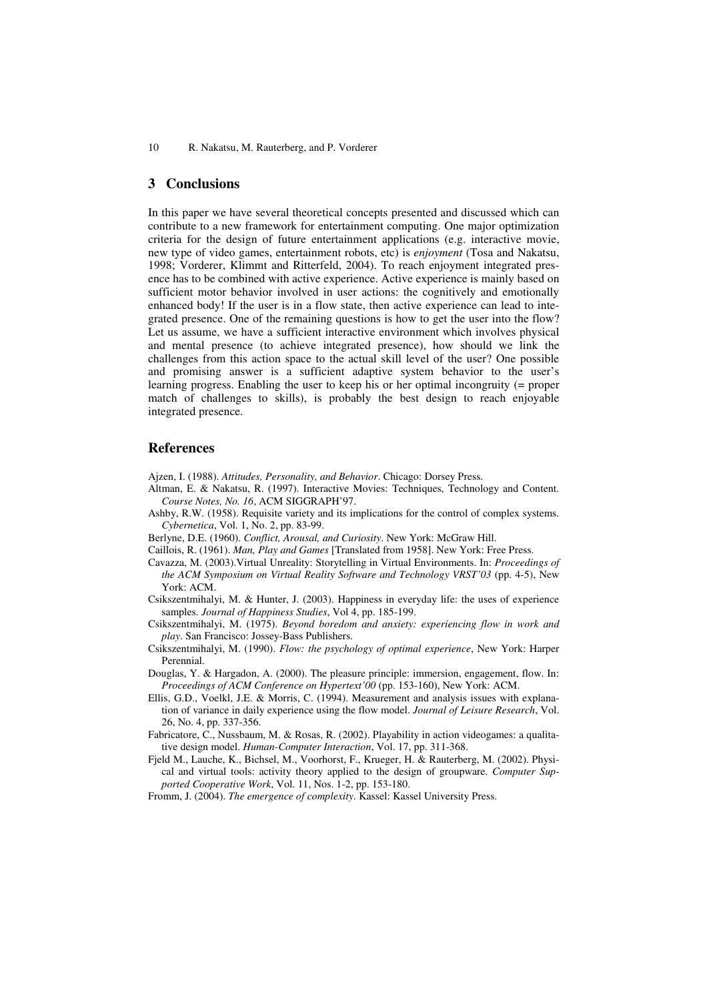## **3 Conclusions**

In this paper we have several theoretical concepts presented and discussed which can contribute to a new framework for entertainment computing. One major optimization criteria for the design of future entertainment applications (e.g. interactive movie, new type of video games, entertainment robots, etc) is *enjoyment* (Tosa and Nakatsu, 1998; Vorderer, Klimmt and Ritterfeld, 2004). To reach enjoyment integrated presence has to be combined with active experience. Active experience is mainly based on sufficient motor behavior involved in user actions: the cognitively and emotionally enhanced body! If the user is in a flow state, then active experience can lead to integrated presence. One of the remaining questions is how to get the user into the flow? Let us assume, we have a sufficient interactive environment which involves physical and mental presence (to achieve integrated presence), how should we link the challenges from this action space to the actual skill level of the user? One possible and promising answer is a sufficient adaptive system behavior to the user's learning progress. Enabling the user to keep his or her optimal incongruity (= proper match of challenges to skills), is probably the best design to reach enjoyable integrated presence.

## **References**

Ajzen, I. (1988). *Attitudes, Personality, and Behavior*. Chicago: Dorsey Press.

- Altman, E. & Nakatsu, R. (1997). Interactive Movies: Techniques, Technology and Content. *Course Notes, No. 16*, ACM SIGGRAPH'97.
- Ashby, R.W. (1958). Requisite variety and its implications for the control of complex systems. *Cybernetica*, Vol. 1, No. 2, pp. 83-99.
- Berlyne, D.E. (1960). *Conflict, Arousal, and Curiosity*. New York: McGraw Hill.
- Caillois, R. (1961). *Man, Play and Games* [Translated from 1958]. New York: Free Press.
- Cavazza, M. (2003).Virtual Unreality: Storytelling in Virtual Environments. In: *Proceedings of the ACM Symposium on Virtual Reality Software and Technology VRST'03* (pp. 4-5), New York: ACM.
- Csikszentmihalyi, M. & Hunter, J. (2003). Happiness in everyday life: the uses of experience samples. *Journal of Happiness Studies*, Vol 4, pp. 185-199.
- Csikszentmihalyi, M. (1975). *Beyond boredom and anxiety: experiencing flow in work and play*. San Francisco: Jossey-Bass Publishers.
- Csikszentmihalyi, M. (1990). *Flow: the psychology of optimal experience*, New York: Harper Perennial.
- Douglas, Y. & Hargadon, A. (2000). The pleasure principle: immersion, engagement, flow. In: *Proceedings of ACM Conference on Hypertext'00* (pp. 153-160), New York: ACM.
- Ellis, G.D., Voelkl, J.E. & Morris, C. (1994). Measurement and analysis issues with explanation of variance in daily experience using the flow model. *Journal of Leisure Research*, Vol. 26, No. 4, pp. 337-356.
- Fabricatore, C., Nussbaum, M. & Rosas, R. (2002). Playability in action videogames: a qualitative design model. *Human-Computer Interaction*, Vol. 17, pp. 311-368.
- Fjeld M., Lauche, K., Bichsel, M., Voorhorst, F., Krueger, H. & Rauterberg, M. (2002). Physical and virtual tools: activity theory applied to the design of groupware. *Computer Supported Cooperative Work*, Vol. 11, Nos. 1-2, pp. 153-180.
- Fromm, J. (2004). *The emergence of complexity*. Kassel: Kassel University Press.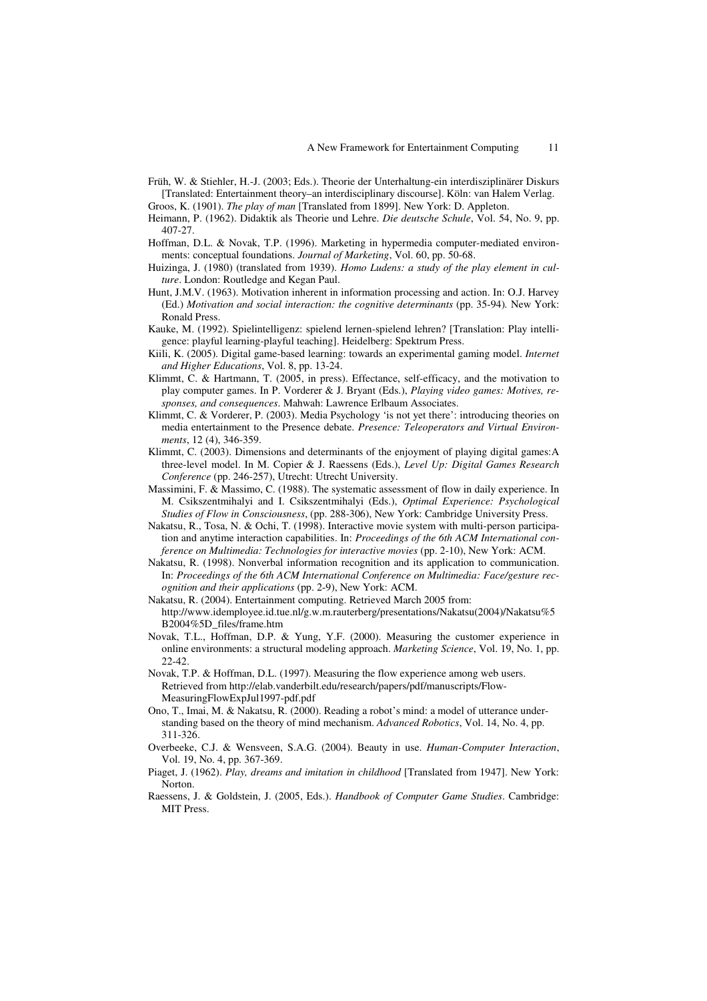- Früh, W. & Stiehler, H.-J. (2003; Eds.). Theorie der Unterhaltung-ein interdisziplinärer Diskurs [Translated: Entertainment theory–an interdisciplinary discourse]. Köln: van Halem Verlag.
- Groos, K. (1901). *The play of man* [Translated from 1899]. New York: D. Appleton.
- Heimann, P. (1962). Didaktik als Theorie und Lehre. *Die deutsche Schule*, Vol. 54, No. 9, pp. 407-27.
- Hoffman, D.L. & Novak, T.P. (1996). Marketing in hypermedia computer-mediated environments: conceptual foundations. *Journal of Marketing*, Vol. 60, pp. 50-68.
- Huizinga, J. (1980) (translated from 1939). *Homo Ludens: a study of the play element in culture*. London: Routledge and Kegan Paul.
- Hunt, J.M.V. (1963). Motivation inherent in information processing and action. In: O.J. Harvey (Ed.) *Motivation and social interaction: the cognitive determinants* (pp. 35-94)*.* New York: Ronald Press.
- Kauke, M. (1992). Spielintelligenz: spielend lernen-spielend lehren? [Translation: Play intelligence: playful learning-playful teaching]. Heidelberg: Spektrum Press.
- Kiili, K. (2005). Digital game-based learning: towards an experimental gaming model. *Internet and Higher Educations*, Vol. 8, pp. 13-24.
- Klimmt, C. & Hartmann, T. (2005, in press). Effectance, self-efficacy, and the motivation to play computer games. In P. Vorderer & J. Bryant (Eds.), *Playing video games: Motives, responses, and consequences*. Mahwah: Lawrence Erlbaum Associates.
- Klimmt, C. & Vorderer, P. (2003). Media Psychology 'is not yet there': introducing theories on media entertainment to the Presence debate. *Presence: Teleoperators and Virtual Environments*, 12 (4), 346-359.
- Klimmt, C. (2003). Dimensions and determinants of the enjoyment of playing digital games:A three-level model. In M. Copier & J. Raessens (Eds.), *Level Up: Digital Games Research Conference* (pp. 246-257), Utrecht: Utrecht University.
- Massimini, F. & Massimo, C. (1988). The systematic assessment of flow in daily experience. In M. Csikszentmihalyi and I. Csikszentmihalyi (Eds.), *Optimal Experience: Psychological Studies of Flow in Consciousness*, (pp. 288-306), New York: Cambridge University Press.
- Nakatsu, R., Tosa, N. & Ochi, T. (1998). Interactive movie system with multi-person participation and anytime interaction capabilities. In: *Proceedings of the 6th ACM International conference on Multimedia: Technologies for interactive movies* (pp. 2-10), New York: ACM.
- Nakatsu, R. (1998). Nonverbal information recognition and its application to communication. In: *Proceedings of the 6th ACM International Conference on Multimedia: Face/gesture recognition and their applications* (pp. 2-9), New York: ACM.
- Nakatsu, R. (2004). Entertainment computing. Retrieved March 2005 from: http://www.idemployee.id.tue.nl/g.w.m.rauterberg/presentations/Nakatsu(2004)/Nakatsu%5 B2004%5D\_files/frame.htm
- Novak, T.L., Hoffman, D.P. & Yung, Y.F. (2000). Measuring the customer experience in online environments: a structural modeling approach. *Marketing Science*, Vol. 19, No. 1, pp. 22-42.
- Novak, T.P. & Hoffman, D.L. (1997). Measuring the flow experience among web users. Retrieved from http://elab.vanderbilt.edu/research/papers/pdf/manuscripts/Flow-MeasuringFlowExpJul1997-pdf.pdf
- Ono, T., Imai, M. & Nakatsu, R. (2000). Reading a robot's mind: a model of utterance understanding based on the theory of mind mechanism. *Advanced Robotics*, Vol. 14, No. 4, pp. 311-326.
- Overbeeke, C.J. & Wensveen, S.A.G. (2004). Beauty in use. *Human-Computer Interaction*, Vol. 19, No. 4, pp. 367-369.
- Piaget, J. (1962). *Play, dreams and imitation in childhood* [Translated from 1947]. New York: Norton.
- Raessens, J. & Goldstein, J. (2005, Eds.). *Handbook of Computer Game Studies*. Cambridge: MIT Press.